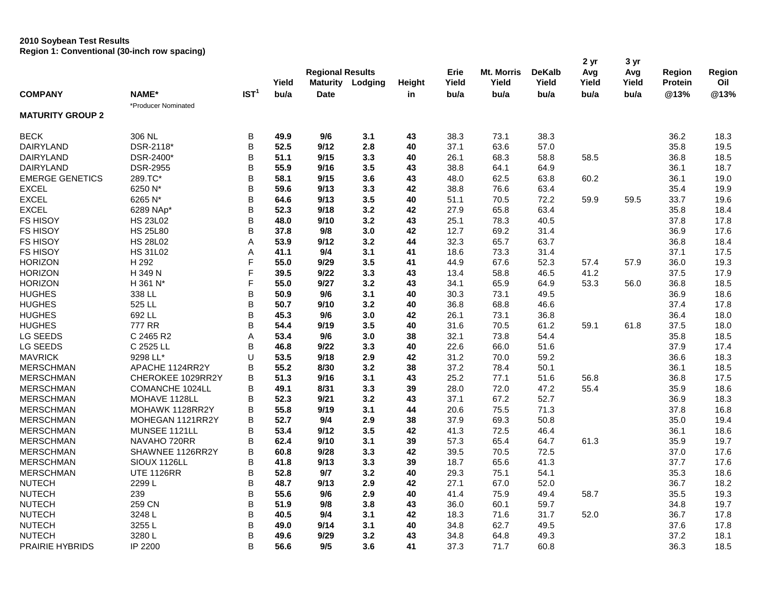## **2010 Soybean Test Results Region 1: Conventional (30-inch row spacing)**

| <b>COMPANY</b>          | <b>NAME*</b><br>*Producer Nominated | IST <sup>1</sup> | Yield<br>bu/a | <b>Regional Results</b><br><b>Maturity Lodging</b> |     | Height | Erie<br>Yield | Mt. Morris<br>Yield | <b>DeKalb</b><br>Yield | 2 yr<br>Avg<br>Yield | 3 yr<br>Avg<br>Yield | Region<br><b>Protein</b> | Region<br>Oil |
|-------------------------|-------------------------------------|------------------|---------------|----------------------------------------------------|-----|--------|---------------|---------------------|------------------------|----------------------|----------------------|--------------------------|---------------|
|                         |                                     |                  |               | <b>Date</b>                                        |     | in     | bu/a          | bu/a                | bu/a                   | bu/a                 | bu/a                 | @13%                     | @13%          |
| <b>MATURITY GROUP 2</b> |                                     |                  |               |                                                    |     |        |               |                     |                        |                      |                      |                          |               |
| <b>BECK</b>             | 306 NL                              | B                | 49.9          | 9/6                                                | 3.1 | 43     | 38.3          | 73.1                | 38.3                   |                      |                      | 36.2                     | 18.3          |
| DAIRYLAND               | DSR-2118*                           | B                | 52.5          | 9/12                                               | 2.8 | 40     | 37.1          | 63.6                | 57.0                   |                      |                      | 35.8                     | 19.5          |
| DAIRYLAND               | DSR-2400*                           | B                | 51.1          | 9/15                                               | 3.3 | 40     | 26.1          | 68.3                | 58.8                   | 58.5                 |                      | 36.8                     | 18.5          |
| DAIRYLAND               | <b>DSR-2955</b>                     | B                | 55.9          | 9/16                                               | 3.5 | 43     | 38.8          | 64.1                | 64.9                   |                      |                      | 36.1                     | 18.7          |
| <b>EMERGE GENETICS</b>  | 289.TC*                             | B                | 58.1          | 9/15                                               | 3.6 | 43     | 48.0          | 62.5                | 63.8                   | 60.2                 |                      | 36.1                     | 19.0          |
| <b>EXCEL</b>            | 6250 N*                             | B                | 59.6          | 9/13                                               | 3.3 | 42     | 38.8          | 76.6                | 63.4                   |                      |                      | 35.4                     | 19.9          |
| <b>EXCEL</b>            | 6265 N*                             | B                | 64.6          | 9/13                                               | 3.5 | 40     | 51.1          | 70.5                | 72.2                   | 59.9                 | 59.5                 | 33.7                     | 19.6          |
| <b>EXCEL</b>            | 6289 NAp*                           | B                | 52.3          | 9/18                                               | 3.2 | 42     | 27.9          | 65.8                | 63.4                   |                      |                      | 35.8                     | 18.4          |
| <b>FS HISOY</b>         | <b>HS 23L02</b>                     | B                | 48.0          | 9/10                                               | 3.2 | 43     | 25.1          | 78.3                | 40.5                   |                      |                      | 37.8                     | 17.8          |
| <b>FS HISOY</b>         | <b>HS 25L80</b>                     | B                | 37.8          | 9/8                                                | 3.0 | 42     | 12.7          | 69.2                | 31.4                   |                      |                      | 36.9                     | 17.6          |
| <b>FS HISOY</b>         | <b>HS 28L02</b>                     | A                | 53.9          | 9/12                                               | 3.2 | 44     | 32.3          | 65.7                | 63.7                   |                      |                      | 36.8                     | 18.4          |
| <b>FS HISOY</b>         | <b>HS 31L02</b>                     | Α                | 41.1          | 9/4                                                | 3.1 | 41     | 18.6          | 73.3                | 31.4                   |                      |                      | 37.1                     | 17.5          |
| <b>HORIZON</b>          | H 292                               | F                | 55.0          | 9/29                                               | 3.5 | 41     | 44.9          | 67.6                | 52.3                   | 57.4                 | 57.9                 | 36.0                     | 19.3          |
| <b>HORIZON</b>          | H 349 N                             | F                | 39.5          | 9/22                                               | 3.3 | 43     | 13.4          | 58.8                | 46.5                   | 41.2                 |                      | 37.5                     | 17.9          |
| <b>HORIZON</b>          | H 361 N <sup>*</sup>                | F                | 55.0          | 9/27                                               | 3.2 | 43     | 34.1          | 65.9                | 64.9                   | 53.3                 | 56.0                 | 36.8                     | 18.5          |
| <b>HUGHES</b>           | 338 LL                              | B                | 50.9          | 9/6                                                | 3.1 | 40     | 30.3          | 73.1                | 49.5                   |                      |                      | 36.9                     | 18.6          |
| <b>HUGHES</b>           | 525 LL                              | B                | 50.7          | 9/10                                               | 3.2 | 40     | 36.8          | 68.8                | 46.6                   |                      |                      | 37.4                     | 17.8          |
| <b>HUGHES</b>           | 692 LL                              | B                | 45.3          | 9/6                                                | 3.0 | 42     | 26.1          | 73.1                | 36.8                   |                      |                      | 36.4                     | 18.0          |
| <b>HUGHES</b>           | <b>777 RR</b>                       | B                | 54.4          | 9/19                                               | 3.5 | 40     | 31.6          | 70.5                | 61.2                   | 59.1                 | 61.8                 | 37.5                     | 18.0          |
| LG SEEDS                | C 2465 R2                           | A                | 53.4          | 9/6                                                | 3.0 | 38     | 32.1          | 73.8                | 54.4                   |                      |                      | 35.8                     | 18.5          |
| LG SEEDS                | C 2525 LL                           | B                | 46.8          | 9/22                                               | 3.3 | 40     | 22.6          | 66.0                | 51.6                   |                      |                      | 37.9                     | 17.4          |
| <b>MAVRICK</b>          | 9298 LL*                            | U                | 53.5          | 9/18                                               | 2.9 | 42     | 31.2          | 70.0                | 59.2                   |                      |                      | 36.6                     | 18.3          |
| <b>MERSCHMAN</b>        | APACHE 1124RR2Y                     | B                | 55.2          | 8/30                                               | 3.2 | 38     | 37.2          | 78.4                | 50.1                   |                      |                      | 36.1                     | 18.5          |
| <b>MERSCHMAN</b>        | CHEROKEE 1029RR2Y                   | B                | 51.3          | 9/16                                               | 3.1 | 43     | 25.2          | 77.1                | 51.6                   | 56.8                 |                      | 36.8                     | 17.5          |
| <b>MERSCHMAN</b>        | COMANCHE 1024LL                     | B                | 49.1          | 8/31                                               | 3.3 | 39     | 28.0          | 72.0                | 47.2                   | 55.4                 |                      | 35.9                     | 18.6          |
| <b>MERSCHMAN</b>        | MOHAVE 1128LL                       | B                | 52.3          | 9/21                                               | 3.2 | 43     | 37.1          | 67.2                | 52.7                   |                      |                      | 36.9                     | 18.3          |
| <b>MERSCHMAN</b>        | MOHAWK 1128RR2Y                     | B                | 55.8          | 9/19                                               | 3.1 | 44     | 20.6          | 75.5                | 71.3                   |                      |                      | 37.8                     | 16.8          |
| <b>MERSCHMAN</b>        | MOHEGAN 1121RR2Y                    | B                | 52.7          | 9/4                                                | 2.9 | 38     | 37.9          | 69.3                | 50.8                   |                      |                      | 35.0                     | 19.4          |
| <b>MERSCHMAN</b>        | MUNSEE 1121LL                       | B                | 53.4          | 9/12                                               | 3.5 | 42     | 41.3          | 72.5                | 46.4                   |                      |                      | 36.1                     | 18.6          |
| <b>MERSCHMAN</b>        | NAVAHO 720RR                        | B                | 62.4          | 9/10                                               | 3.1 | 39     | 57.3          | 65.4                | 64.7                   | 61.3                 |                      | 35.9                     | 19.7          |
| <b>MERSCHMAN</b>        | SHAWNEE 1126RR2Y                    | B                | 60.8          | 9/28                                               | 3.3 | 42     | 39.5          | 70.5                | 72.5                   |                      |                      | 37.0                     | 17.6          |
| <b>MERSCHMAN</b>        | SIOUX 1126LL                        | B                | 41.8          | 9/13                                               | 3.3 | 39     | 18.7          | 65.6                | 41.3                   |                      |                      | 37.7                     | 17.6          |
| <b>MERSCHMAN</b>        | <b>UTE 1126RR</b>                   | B                | 52.8          | 9/7                                                | 3.2 | 40     | 29.3          | 75.1                | 54.1                   |                      |                      | 35.3                     | 18.6          |
| <b>NUTECH</b>           | 2299L                               | B                | 48.7          | 9/13                                               | 2.9 | 42     | 27.1          | 67.0                | 52.0                   |                      |                      | 36.7                     | 18.2          |
| <b>NUTECH</b>           | 239                                 | B                | 55.6          | 9/6                                                | 2.9 | 40     | 41.4          | 75.9                | 49.4                   | 58.7                 |                      | 35.5                     | 19.3          |
| <b>NUTECH</b>           | 259 CN                              | B                | 51.9          | 9/8                                                | 3.8 | 43     | 36.0          | 60.1                | 59.7                   |                      |                      | 34.8                     | 19.7          |
| <b>NUTECH</b>           | 3248L                               | B                | 40.5          | 9/4                                                | 3.1 | 42     | 18.3          | 71.6                | 31.7                   | 52.0                 |                      | 36.7                     | 17.8          |
| <b>NUTECH</b>           | 3255L                               | B                | 49.0          | 9/14                                               | 3.1 | 40     | 34.8          | 62.7                | 49.5                   |                      |                      | 37.6                     | 17.8          |
| <b>NUTECH</b>           | 3280L                               | B                | 49.6          | 9/29                                               | 3.2 | 43     | 34.8          | 64.8                | 49.3                   |                      |                      | 37.2                     | 18.1          |
| PRAIRIE HYBRIDS         | IP 2200                             | B                | 56.6          | 9/5                                                | 3.6 | 41     | 37.3          | 71.7                | 60.8                   |                      |                      | 36.3                     | 18.5          |